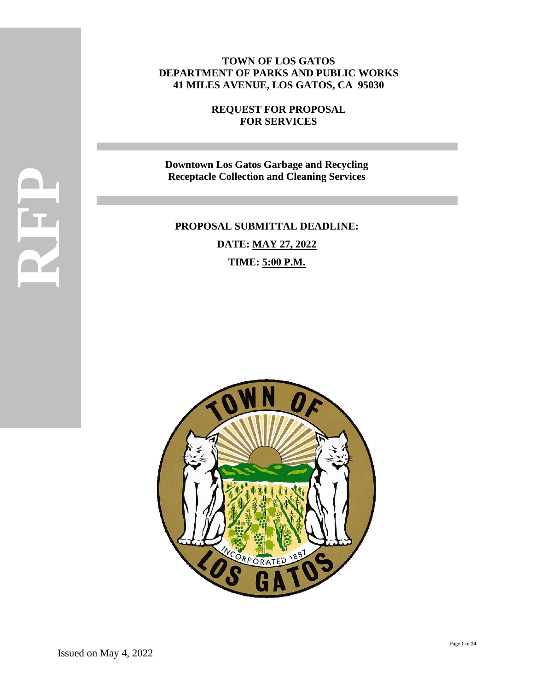# **TOWN OF LOS GATOS DEPARTMENT OF PARKS AND PUBLIC WORKS 41 MILES AVENUE, LOS GATOS, CA 95030**

**REQUEST FOR PROPOSAL FOR SERVICES**

**Downtown Los Gatos Garbage and Recycling Receptacle Collection and Cleaning Services**

# **PROPOSAL SUBMITTAL DEADLINE: DATE: MAY 27, 2022 TIME: 5:00 P.M.**

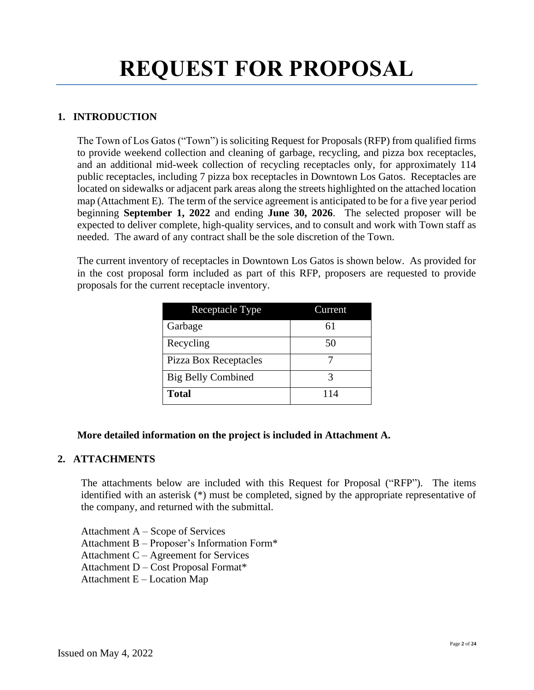# **REQUEST FOR PROPOSAL**

# **1. INTRODUCTION**

The Town of Los Gatos ("Town") is soliciting Request for Proposals (RFP) from qualified firms to provide weekend collection and cleaning of garbage, recycling, and pizza box receptacles, and an additional mid-week collection of recycling receptacles only, for approximately 114 public receptacles, including 7 pizza box receptacles in Downtown Los Gatos. Receptacles are located on sidewalks or adjacent park areas along the streets highlighted on the attached location map (Attachment E). The term of the service agreement is anticipated to be for a five year period beginning **September 1, 2022** and ending **June 30, 2026**. The selected proposer will be expected to deliver complete, high-quality services, and to consult and work with Town staff as needed. The award of any contract shall be the sole discretion of the Town.

The current inventory of receptacles in Downtown Los Gatos is shown below. As provided for in the cost proposal form included as part of this RFP, proposers are requested to provide proposals for the current receptacle inventory.

| Receptacle Type           | Current |  |
|---------------------------|---------|--|
| Garbage                   | 61      |  |
| Recycling                 | 50      |  |
| Pizza Box Receptacles     |         |  |
| <b>Big Belly Combined</b> |         |  |
| <b>Total</b>              | 114     |  |

# **More detailed information on the project is included in Attachment A.**

# **2. ATTACHMENTS**

The attachments below are included with this Request for Proposal ("RFP"). The items identified with an asterisk (\*) must be completed, signed by the appropriate representative of the company, and returned with the submittal.

Attachment A – Scope of Services

Attachment B – Proposer's Information Form\*

Attachment C – Agreement for Services

Attachment D – Cost Proposal Format\*

Attachment E – Location Map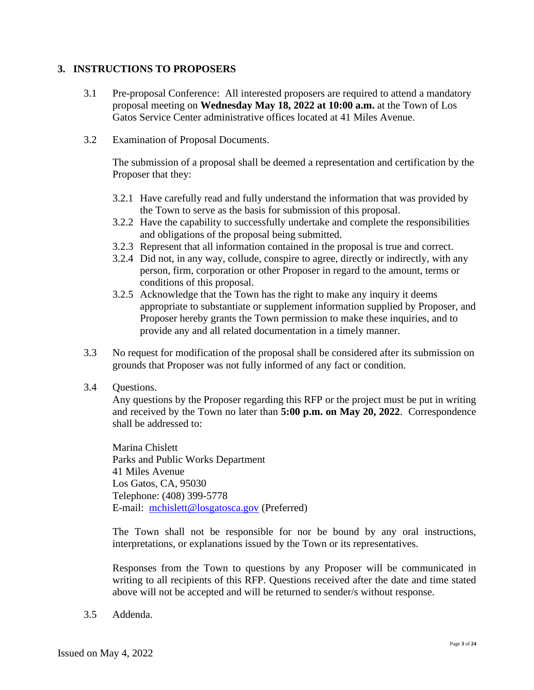#### **3. INSTRUCTIONS TO PROPOSERS**

- 3.1 Pre-proposal Conference: All interested proposers are required to attend a mandatory proposal meeting on **Wednesday May 18, 2022 at 10:00 a.m.** at the Town of Los Gatos Service Center administrative offices located at 41 Miles Avenue.
- 3.2 Examination of Proposal Documents.

The submission of a proposal shall be deemed a representation and certification by the Proposer that they:

- 3.2.1 Have carefully read and fully understand the information that was provided by the Town to serve as the basis for submission of this proposal.
- 3.2.2 Have the capability to successfully undertake and complete the responsibilities and obligations of the proposal being submitted.
- 3.2.3 Represent that all information contained in the proposal is true and correct.
- 3.2.4 Did not, in any way, collude, conspire to agree, directly or indirectly, with any person, firm, corporation or other Proposer in regard to the amount, terms or conditions of this proposal.
- 3.2.5 Acknowledge that the Town has the right to make any inquiry it deems appropriate to substantiate or supplement information supplied by Proposer, and Proposer hereby grants the Town permission to make these inquiries, and to provide any and all related documentation in a timely manner.
- 3.3 No request for modification of the proposal shall be considered after its submission on grounds that Proposer was not fully informed of any fact or condition.
- 3.4 Questions.

Any questions by the Proposer regarding this RFP or the project must be put in writing and received by the Town no later than **5:00 p.m. on May 20, 2022**. Correspondence shall be addressed to:

Marina Chislett Parks and Public Works Department 41 Miles Avenue Los Gatos, CA, 95030 Telephone: (408) 399-5778 E-mail: [mchislett@losgatosca.gov](mailto:mchislett@losgatosca.gov) (Preferred)

The Town shall not be responsible for nor be bound by any oral instructions, interpretations, or explanations issued by the Town or its representatives.

Responses from the Town to questions by any Proposer will be communicated in writing to all recipients of this RFP. Questions received after the date and time stated above will not be accepted and will be returned to sender/s without response.

3.5 Addenda.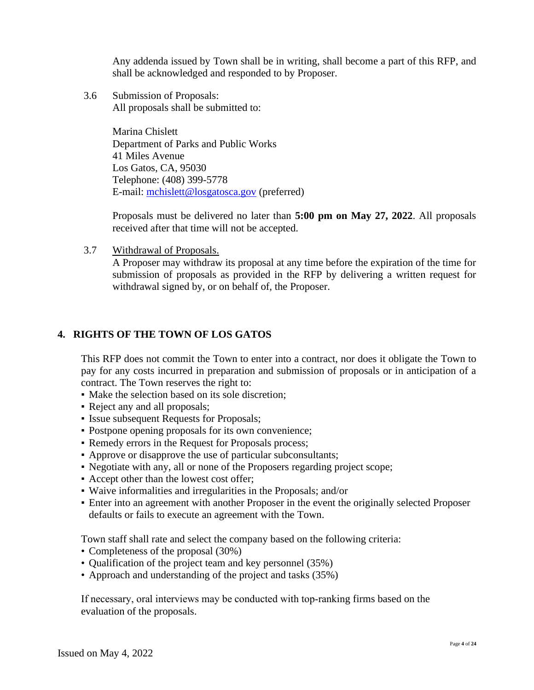Any addenda issued by Town shall be in writing, shall become a part of this RFP, and shall be acknowledged and responded to by Proposer.

3.6 Submission of Proposals: All proposals shall be submitted to:

> Marina Chislett Department of Parks and Public Works 41 Miles Avenue Los Gatos, CA, 95030 Telephone: (408) 399-5778 E-mail: [mchislett@losgatosca.gov](mailto:mchislett@losgatosca.gov) (preferred)

Proposals must be delivered no later than **5:00 pm on May 27, 2022**. All proposals received after that time will not be accepted.

3.7 Withdrawal of Proposals.

A Proposer may withdraw its proposal at any time before the expiration of the time for submission of proposals as provided in the RFP by delivering a written request for withdrawal signed by, or on behalf of, the Proposer.

# **4. RIGHTS OF THE TOWN OF LOS GATOS**

This RFP does not commit the Town to enter into a contract, nor does it obligate the Town to pay for any costs incurred in preparation and submission of proposals or in anticipation of a contract. The Town reserves the right to:

- Make the selection based on its sole discretion;
- Reject any and all proposals;
- Issue subsequent Requests for Proposals;
- Postpone opening proposals for its own convenience;
- Remedy errors in the Request for Proposals process;
- Approve or disapprove the use of particular subconsultants;
- Negotiate with any, all or none of the Proposers regarding project scope;
- Accept other than the lowest cost offer;
- Waive informalities and irregularities in the Proposals; and/or
- Enter into an agreement with another Proposer in the event the originally selected Proposer defaults or fails to execute an agreement with the Town.

Town staff shall rate and select the company based on the following criteria:

- Completeness of the proposal (30%)
- Qualification of the project team and key personnel (35%)
- Approach and understanding of the project and tasks (35%)

If necessary, oral interviews may be conducted with top-ranking firms based on the evaluation of the proposals.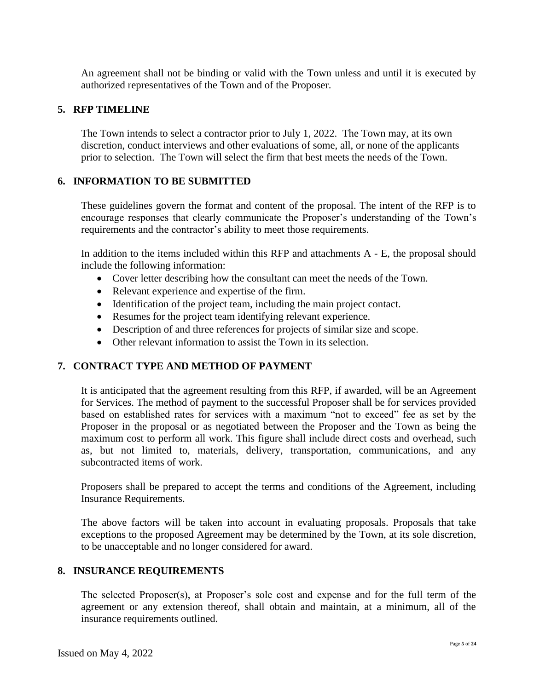An agreement shall not be binding or valid with the Town unless and until it is executed by authorized representatives of the Town and of the Proposer.

#### **5. RFP TIMELINE**

The Town intends to select a contractor prior to July 1, 2022. The Town may, at its own discretion, conduct interviews and other evaluations of some, all, or none of the applicants prior to selection. The Town will select the firm that best meets the needs of the Town.

#### **6. INFORMATION TO BE SUBMITTED**

These guidelines govern the format and content of the proposal. The intent of the RFP is to encourage responses that clearly communicate the Proposer's understanding of the Town's requirements and the contractor's ability to meet those requirements.

In addition to the items included within this RFP and attachments  $A - E$ , the proposal should include the following information:

- Cover letter describing how the consultant can meet the needs of the Town.
- Relevant experience and expertise of the firm.
- Identification of the project team, including the main project contact.
- Resumes for the project team identifying relevant experience.
- Description of and three references for projects of similar size and scope.
- Other relevant information to assist the Town in its selection.

#### **7. CONTRACT TYPE AND METHOD OF PAYMENT**

It is anticipated that the agreement resulting from this RFP, if awarded, will be an Agreement for Services. The method of payment to the successful Proposer shall be for services provided based on established rates for services with a maximum "not to exceed" fee as set by the Proposer in the proposal or as negotiated between the Proposer and the Town as being the maximum cost to perform all work. This figure shall include direct costs and overhead, such as, but not limited to, materials, delivery, transportation, communications, and any subcontracted items of work.

Proposers shall be prepared to accept the terms and conditions of the Agreement, including Insurance Requirements.

The above factors will be taken into account in evaluating proposals. Proposals that take exceptions to the proposed Agreement may be determined by the Town, at its sole discretion, to be unacceptable and no longer considered for award.

#### **8. INSURANCE REQUIREMENTS**

The selected Proposer(s), at Proposer's sole cost and expense and for the full term of the agreement or any extension thereof, shall obtain and maintain, at a minimum, all of the insurance requirements outlined.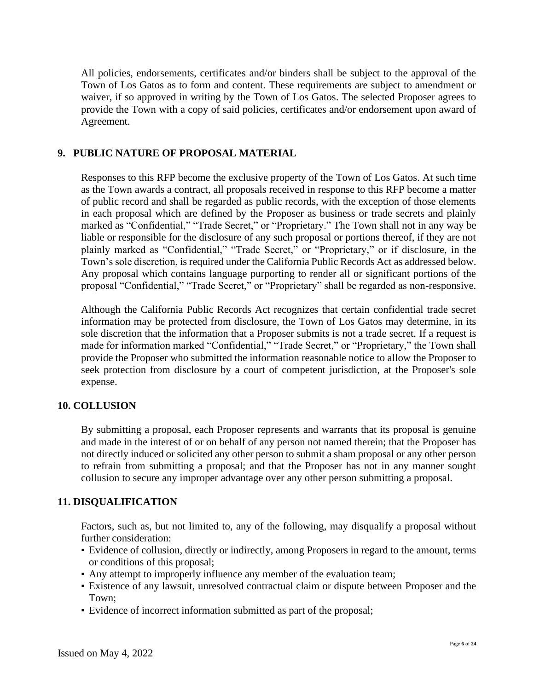All policies, endorsements, certificates and/or binders shall be subject to the approval of the Town of Los Gatos as to form and content. These requirements are subject to amendment or waiver, if so approved in writing by the Town of Los Gatos. The selected Proposer agrees to provide the Town with a copy of said policies, certificates and/or endorsement upon award of Agreement.

#### **9. PUBLIC NATURE OF PROPOSAL MATERIAL**

Responses to this RFP become the exclusive property of the Town of Los Gatos. At such time as the Town awards a contract, all proposals received in response to this RFP become a matter of public record and shall be regarded as public records, with the exception of those elements in each proposal which are defined by the Proposer as business or trade secrets and plainly marked as "Confidential," "Trade Secret," or "Proprietary." The Town shall not in any way be liable or responsible for the disclosure of any such proposal or portions thereof, if they are not plainly marked as "Confidential," "Trade Secret," or "Proprietary," or if disclosure, in the Town's sole discretion, is required under the California Public Records Act as addressed below. Any proposal which contains language purporting to render all or significant portions of the proposal "Confidential," "Trade Secret," or "Proprietary" shall be regarded as non-responsive.

Although the California Public Records Act recognizes that certain confidential trade secret information may be protected from disclosure, the Town of Los Gatos may determine, in its sole discretion that the information that a Proposer submits is not a trade secret. If a request is made for information marked "Confidential," "Trade Secret," or "Proprietary," the Town shall provide the Proposer who submitted the information reasonable notice to allow the Proposer to seek protection from disclosure by a court of competent jurisdiction, at the Proposer's sole expense.

#### **10. COLLUSION**

By submitting a proposal, each Proposer represents and warrants that its proposal is genuine and made in the interest of or on behalf of any person not named therein; that the Proposer has not directly induced or solicited any other person to submit a sham proposal or any other person to refrain from submitting a proposal; and that the Proposer has not in any manner sought collusion to secure any improper advantage over any other person submitting a proposal.

#### **11. DISQUALIFICATION**

Factors, such as, but not limited to, any of the following, may disqualify a proposal without further consideration:

- Evidence of collusion, directly or indirectly, among Proposers in regard to the amount, terms or conditions of this proposal;
- Any attempt to improperly influence any member of the evaluation team;
- Existence of any lawsuit, unresolved contractual claim or dispute between Proposer and the Town;
- Evidence of incorrect information submitted as part of the proposal;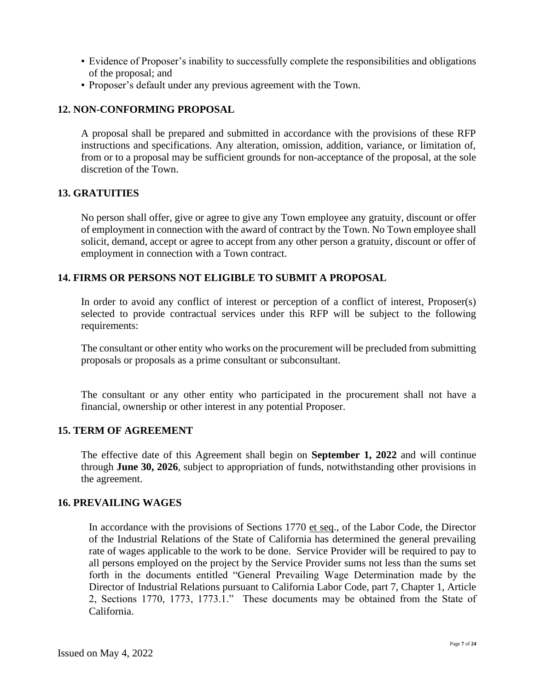- Evidence of Proposer's inability to successfully complete the responsibilities and obligations of the proposal; and
- Proposer's default under any previous agreement with the Town.

# **12. NON-CONFORMING PROPOSAL**

A proposal shall be prepared and submitted in accordance with the provisions of these RFP instructions and specifications. Any alteration, omission, addition, variance, or limitation of, from or to a proposal may be sufficient grounds for non-acceptance of the proposal, at the sole discretion of the Town.

#### **13. GRATUITIES**

No person shall offer, give or agree to give any Town employee any gratuity, discount or offer of employment in connection with the award of contract by the Town. No Town employee shall solicit, demand, accept or agree to accept from any other person a gratuity, discount or offer of employment in connection with a Town contract.

#### **14. FIRMS OR PERSONS NOT ELIGIBLE TO SUBMIT A PROPOSAL**

In order to avoid any conflict of interest or perception of a conflict of interest, Proposer(s) selected to provide contractual services under this RFP will be subject to the following requirements:

The consultant or other entity who works on the procurement will be precluded from submitting proposals or proposals as a prime consultant or subconsultant.

The consultant or any other entity who participated in the procurement shall not have a financial, ownership or other interest in any potential Proposer.

#### **15. TERM OF AGREEMENT**

The effective date of this Agreement shall begin on **September 1, 2022** and will continue through **June 30, 2026**, subject to appropriation of funds, notwithstanding other provisions in the agreement.

#### **16. PREVAILING WAGES**

In accordance with the provisions of Sections 1770 et seq., of the Labor Code, the Director of the Industrial Relations of the State of California has determined the general prevailing rate of wages applicable to the work to be done. Service Provider will be required to pay to all persons employed on the project by the Service Provider sums not less than the sums set forth in the documents entitled "General Prevailing Wage Determination made by the Director of Industrial Relations pursuant to California Labor Code, part 7, Chapter 1, Article 2, Sections 1770, 1773, 1773.1." These documents may be obtained from the State of California.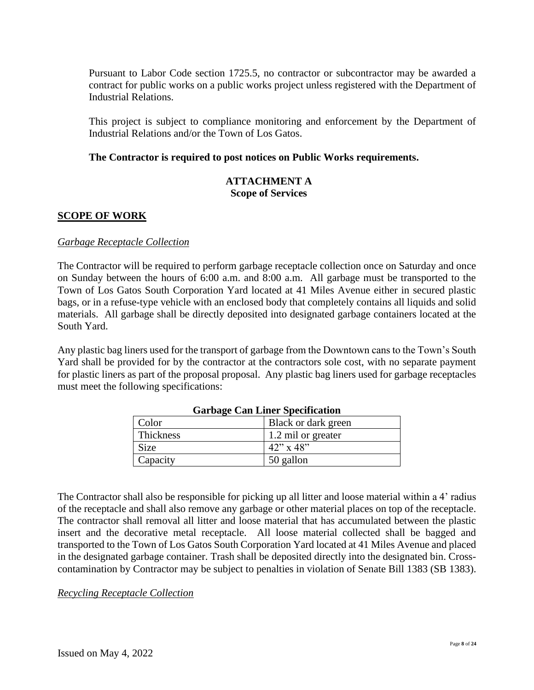Pursuant to Labor Code section 1725.5, no contractor or subcontractor may be awarded a contract for public works on a public works project unless registered with the Department of Industrial Relations.

This project is subject to compliance monitoring and enforcement by the Department of Industrial Relations and/or the Town of Los Gatos.

#### **The Contractor is required to post notices on Public Works requirements.**

#### **ATTACHMENT A Scope of Services**

#### **SCOPE OF WORK**

#### *Garbage Receptacle Collection*

The Contractor will be required to perform garbage receptacle collection once on Saturday and once on Sunday between the hours of 6:00 a.m. and 8:00 a.m. All garbage must be transported to the Town of Los Gatos South Corporation Yard located at 41 Miles Avenue either in secured plastic bags, or in a refuse-type vehicle with an enclosed body that completely contains all liquids and solid materials. All garbage shall be directly deposited into designated garbage containers located at the South Yard.

Any plastic bag liners used for the transport of garbage from the Downtown cans to the Town's South Yard shall be provided for by the contractor at the contractors sole cost, with no separate payment for plastic liners as part of the proposal proposal. Any plastic bag liners used for garbage receptacles must meet the following specifications:

| Color     | Black or dark green |
|-----------|---------------------|
|           |                     |
| Thickness | 1.2 mil or greater  |
| Size      | $42$ " x $48$ "     |
| Capacity  | 50 gallon           |

#### **Garbage Can Liner Specification**

The Contractor shall also be responsible for picking up all litter and loose material within a 4' radius of the receptacle and shall also remove any garbage or other material places on top of the receptacle. The contractor shall removal all litter and loose material that has accumulated between the plastic insert and the decorative metal receptacle. All loose material collected shall be bagged and transported to the Town of Los Gatos South Corporation Yard located at 41 Miles Avenue and placed in the designated garbage container. Trash shall be deposited directly into the designated bin. Crosscontamination by Contractor may be subject to penalties in violation of Senate Bill 1383 (SB 1383).

#### *Recycling Receptacle Collection*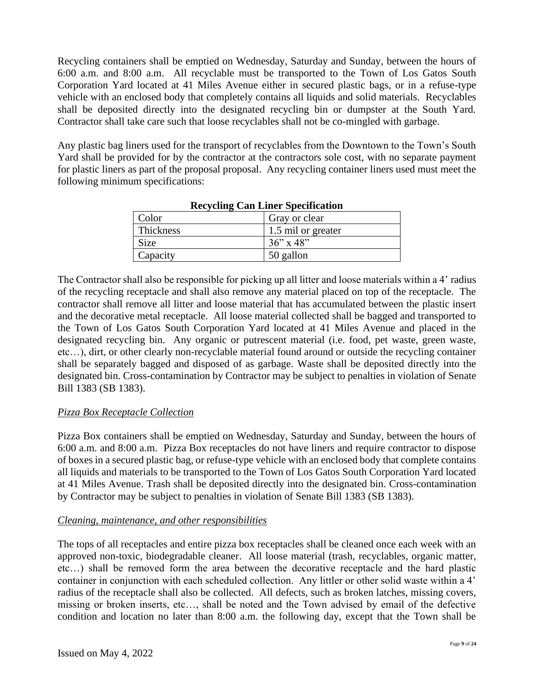Recycling containers shall be emptied on Wednesday, Saturday and Sunday, between the hours of 6:00 a.m. and 8:00 a.m. All recyclable must be transported to the Town of Los Gatos South Corporation Yard located at 41 Miles Avenue either in secured plastic bags, or in a refuse-type vehicle with an enclosed body that completely contains all liquids and solid materials. Recyclables shall be deposited directly into the designated recycling bin or dumpster at the South Yard. Contractor shall take care such that loose recyclables shall not be co-mingled with garbage.

Any plastic bag liners used for the transport of recyclables from the Downtown to the Town's South Yard shall be provided for by the contractor at the contractors sole cost, with no separate payment for plastic liners as part of the proposal proposal. Any recycling container liners used must meet the following minimum specifications:

| .           |                    |  |  |
|-------------|--------------------|--|--|
| Color       | Gray or clear      |  |  |
| Thickness   | 1.5 mil or greater |  |  |
| <b>Size</b> | $36''$ x 48"       |  |  |
| Capacity    | 50 gallon          |  |  |
|             |                    |  |  |

|  | <b>Recycling Can Liner Specification</b> |
|--|------------------------------------------|
|  |                                          |

The Contractor shall also be responsible for picking up all litter and loose materials within a 4' radius of the recycling receptacle and shall also remove any material placed on top of the receptacle. The contractor shall remove all litter and loose material that has accumulated between the plastic insert and the decorative metal receptacle. All loose material collected shall be bagged and transported to the Town of Los Gatos South Corporation Yard located at 41 Miles Avenue and placed in the designated recycling bin. Any organic or putrescent material (i.e. food, pet waste, green waste, etc…), dirt, or other clearly non-recyclable material found around or outside the recycling container shall be separately bagged and disposed of as garbage. Waste shall be deposited directly into the designated bin. Cross-contamination by Contractor may be subject to penalties in violation of Senate Bill 1383 (SB 1383).

# *Pizza Box Receptacle Collection*

Pizza Box containers shall be emptied on Wednesday, Saturday and Sunday, between the hours of 6:00 a.m. and 8:00 a.m. Pizza Box receptacles do not have liners and require contractor to dispose of boxes in a secured plastic bag, or refuse-type vehicle with an enclosed body that complete contains all liquids and materials to be transported to the Town of Los Gatos South Corporation Yard located at 41 Miles Avenue. Trash shall be deposited directly into the designated bin. Cross-contamination by Contractor may be subject to penalties in violation of Senate Bill 1383 (SB 1383).

# *Cleaning, maintenance, and other responsibilities*

The tops of all receptacles and entire pizza box receptacles shall be cleaned once each week with an approved non-toxic, biodegradable cleaner. All loose material (trash, recyclables, organic matter, etc…) shall be removed form the area between the decorative receptacle and the hard plastic container in conjunction with each scheduled collection. Any littler or other solid waste within a 4' radius of the receptacle shall also be collected. All defects, such as broken latches, missing covers, missing or broken inserts, etc…, shall be noted and the Town advised by email of the defective condition and location no later than 8:00 a.m. the following day, except that the Town shall be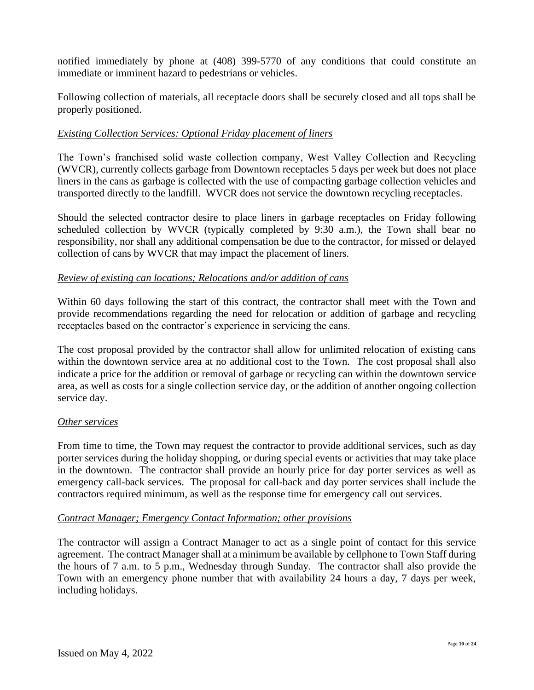notified immediately by phone at (408) 399-5770 of any conditions that could constitute an immediate or imminent hazard to pedestrians or vehicles.

Following collection of materials, all receptacle doors shall be securely closed and all tops shall be properly positioned.

# *Existing Collection Services: Optional Friday placement of liners*

The Town's franchised solid waste collection company, West Valley Collection and Recycling (WVCR), currently collects garbage from Downtown receptacles 5 days per week but does not place liners in the cans as garbage is collected with the use of compacting garbage collection vehicles and transported directly to the landfill. WVCR does not service the downtown recycling receptacles.

Should the selected contractor desire to place liners in garbage receptacles on Friday following scheduled collection by WVCR (typically completed by 9:30 a.m.), the Town shall bear no responsibility, nor shall any additional compensation be due to the contractor, for missed or delayed collection of cans by WVCR that may impact the placement of liners.

#### *Review of existing can locations; Relocations and/or addition of cans*

Within 60 days following the start of this contract, the contractor shall meet with the Town and provide recommendations regarding the need for relocation or addition of garbage and recycling receptacles based on the contractor's experience in servicing the cans.

The cost proposal provided by the contractor shall allow for unlimited relocation of existing cans within the downtown service area at no additional cost to the Town. The cost proposal shall also indicate a price for the addition or removal of garbage or recycling can within the downtown service area, as well as costs for a single collection service day, or the addition of another ongoing collection service day.

#### *Other services*

From time to time, the Town may request the contractor to provide additional services, such as day porter services during the holiday shopping, or during special events or activities that may take place in the downtown. The contractor shall provide an hourly price for day porter services as well as emergency call-back services. The proposal for call-back and day porter services shall include the contractors required minimum, as well as the response time for emergency call out services.

#### *Contract Manager; Emergency Contact Information; other provisions*

The contractor will assign a Contract Manager to act as a single point of contact for this service agreement. The contract Manager shall at a minimum be available by cellphone to Town Staff during the hours of 7 a.m. to 5 p.m., Wednesday through Sunday. The contractor shall also provide the Town with an emergency phone number that with availability 24 hours a day, 7 days per week, including holidays.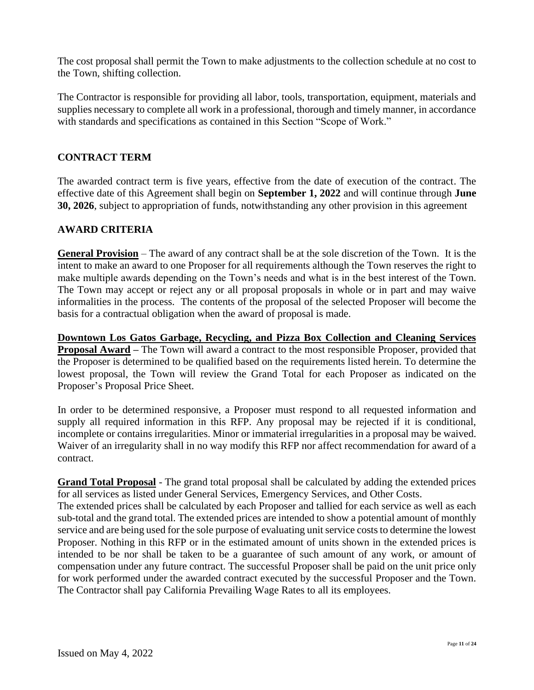The cost proposal shall permit the Town to make adjustments to the collection schedule at no cost to the Town, shifting collection.

The Contractor is responsible for providing all labor, tools, transportation, equipment, materials and supplies necessary to complete all work in a professional, thorough and timely manner, in accordance with standards and specifications as contained in this Section "Scope of Work."

# **CONTRACT TERM**

The awarded contract term is five years, effective from the date of execution of the contract. The effective date of this Agreement shall begin on **September 1, 2022** and will continue through **June 30, 2026**, subject to appropriation of funds, notwithstanding any other provision in this agreement

# **AWARD CRITERIA**

**General Provision** – The award of any contract shall be at the sole discretion of the Town. It is the intent to make an award to one Proposer for all requirements although the Town reserves the right to make multiple awards depending on the Town's needs and what is in the best interest of the Town. The Town may accept or reject any or all proposal proposals in whole or in part and may waive informalities in the process. The contents of the proposal of the selected Proposer will become the basis for a contractual obligation when the award of proposal is made.

**Downtown Los Gatos Garbage, Recycling, and Pizza Box Collection and Cleaning Services Proposal Award –** The Town will award a contract to the most responsible Proposer, provided that the Proposer is determined to be qualified based on the requirements listed herein. To determine the lowest proposal, the Town will review the Grand Total for each Proposer as indicated on the Proposer's Proposal Price Sheet.

In order to be determined responsive, a Proposer must respond to all requested information and supply all required information in this RFP. Any proposal may be rejected if it is conditional, incomplete or contains irregularities. Minor or immaterial irregularities in a proposal may be waived. Waiver of an irregularity shall in no way modify this RFP nor affect recommendation for award of a contract.

**Grand Total Proposal** - The grand total proposal shall be calculated by adding the extended prices for all services as listed under General Services, Emergency Services, and Other Costs. The extended prices shall be calculated by each Proposer and tallied for each service as well as each sub-total and the grand total. The extended prices are intended to show a potential amount of monthly service and are being used for the sole purpose of evaluating unit service costs to determine the lowest Proposer. Nothing in this RFP or in the estimated amount of units shown in the extended prices is intended to be nor shall be taken to be a guarantee of such amount of any work, or amount of compensation under any future contract. The successful Proposer shall be paid on the unit price only for work performed under the awarded contract executed by the successful Proposer and the Town. The Contractor shall pay California Prevailing Wage Rates to all its employees.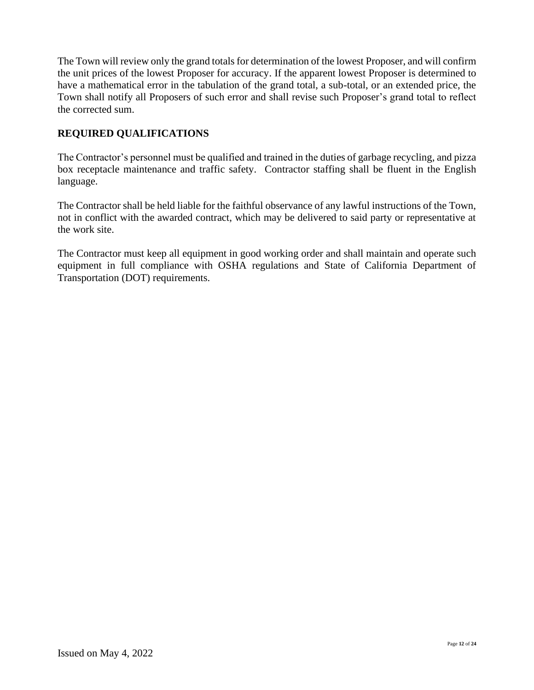The Town will review only the grand totals for determination of the lowest Proposer, and will confirm the unit prices of the lowest Proposer for accuracy. If the apparent lowest Proposer is determined to have a mathematical error in the tabulation of the grand total, a sub-total, or an extended price, the Town shall notify all Proposers of such error and shall revise such Proposer's grand total to reflect the corrected sum.

# **REQUIRED QUALIFICATIONS**

The Contractor's personnel must be qualified and trained in the duties of garbage recycling, and pizza box receptacle maintenance and traffic safety. Contractor staffing shall be fluent in the English language.

The Contractor shall be held liable for the faithful observance of any lawful instructions of the Town, not in conflict with the awarded contract, which may be delivered to said party or representative at the work site.

The Contractor must keep all equipment in good working order and shall maintain and operate such equipment in full compliance with OSHA regulations and State of California Department of Transportation (DOT) requirements.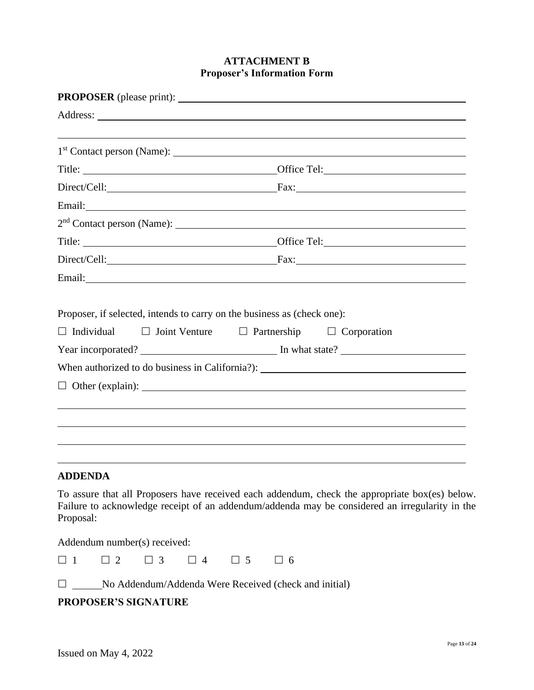#### **ATTACHMENT B Proposer's Information Form**

|                   |                                                                         |  | <u> 1989 - Andrea Santa Andrea Santa Andrea Santa Andrea Santa Andrea Santa Andrea Santa Andrea Santa Andrea San</u> |
|-------------------|-------------------------------------------------------------------------|--|----------------------------------------------------------------------------------------------------------------------|
|                   |                                                                         |  |                                                                                                                      |
|                   |                                                                         |  |                                                                                                                      |
|                   |                                                                         |  |                                                                                                                      |
|                   |                                                                         |  |                                                                                                                      |
|                   |                                                                         |  |                                                                                                                      |
|                   |                                                                         |  |                                                                                                                      |
|                   |                                                                         |  | Direct/Cell: Fax: Fax:                                                                                               |
|                   |                                                                         |  | Email: <u>Financial</u>                                                                                              |
|                   |                                                                         |  |                                                                                                                      |
|                   | Proposer, if selected, intends to carry on the business as (check one): |  |                                                                                                                      |
| $\Box$ Individual | $\Box$ Joint Venture $\Box$ Partnership $\Box$ Corporation              |  |                                                                                                                      |
|                   |                                                                         |  |                                                                                                                      |
|                   |                                                                         |  | When authorized to do business in California?): _________________________________                                    |
|                   |                                                                         |  | $\Box$ Other (explain):                                                                                              |
|                   |                                                                         |  |                                                                                                                      |
|                   |                                                                         |  |                                                                                                                      |
|                   |                                                                         |  |                                                                                                                      |
|                   |                                                                         |  |                                                                                                                      |
| <b>ADDENDA</b>    |                                                                         |  |                                                                                                                      |
|                   |                                                                         |  | To assure that all Proposers have received each addendum, check the appropriate box(es) belo                         |

To assure that all Proposers have received each addendum, check the appropriate box(es) below. Failure to acknowledge receipt of an addendum/addenda may be considered an irregularity in the Proposal:

Addendum number(s) received:

| $\Box$ |  | II 4 | $\Box$ 6 |
|--------|--|------|----------|
|        |  |      |          |

□ \_\_\_\_\_\_No Addendum/Addenda Were Received (check and initial)

# **PROPOSER'S SIGNATURE**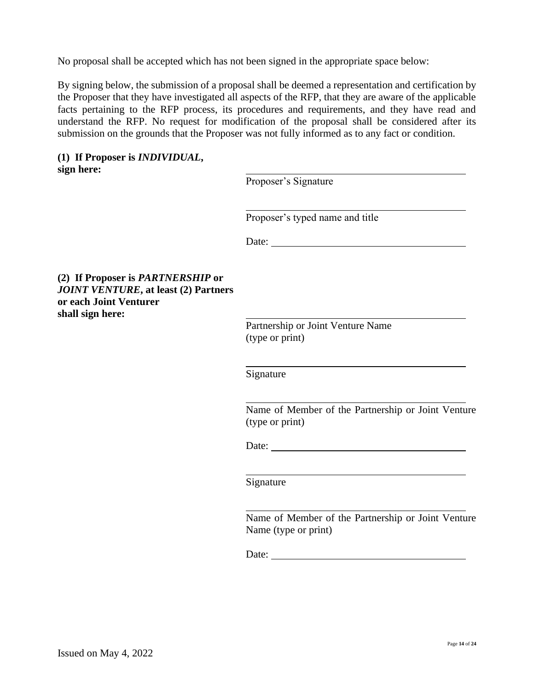No proposal shall be accepted which has not been signed in the appropriate space below:

By signing below, the submission of a proposal shall be deemed a representation and certification by the Proposer that they have investigated all aspects of the RFP, that they are aware of the applicable facts pertaining to the RFP process, its procedures and requirements, and they have read and understand the RFP. No request for modification of the proposal shall be considered after its submission on the grounds that the Proposer was not fully informed as to any fact or condition.

#### **(1) If Proposer is** *INDIVIDUAL***, sign here:**

**(2) If Proposer is** *PARTNERSHIP* **or**  *JOINT VENTURE***, at least (2) Partners**

**or each Joint Venturer**

**shall sign here:** 

| Proposer's Signature                                                                                                                                                                                                                                                                                                                                                                                          |  |
|---------------------------------------------------------------------------------------------------------------------------------------------------------------------------------------------------------------------------------------------------------------------------------------------------------------------------------------------------------------------------------------------------------------|--|
| Proposer's typed name and title                                                                                                                                                                                                                                                                                                                                                                               |  |
| Date: $\frac{1}{\sqrt{1-\frac{1}{2}}\sqrt{1-\frac{1}{2}}\sqrt{1-\frac{1}{2}}\sqrt{1-\frac{1}{2}}\sqrt{1-\frac{1}{2}}\sqrt{1-\frac{1}{2}}\sqrt{1-\frac{1}{2}}\sqrt{1-\frac{1}{2}}\sqrt{1-\frac{1}{2}}\sqrt{1-\frac{1}{2}}\sqrt{1-\frac{1}{2}}\sqrt{1-\frac{1}{2}}\sqrt{1-\frac{1}{2}}\sqrt{1-\frac{1}{2}}\sqrt{1-\frac{1}{2}}\sqrt{1-\frac{1}{2}}\sqrt{1-\frac{1}{2}}\sqrt{1-\frac{1}{2}}\sqrt{1-\frac{1}{2}}$ |  |
|                                                                                                                                                                                                                                                                                                                                                                                                               |  |
|                                                                                                                                                                                                                                                                                                                                                                                                               |  |
| Partnership or Joint Venture Name                                                                                                                                                                                                                                                                                                                                                                             |  |
| (type or print)                                                                                                                                                                                                                                                                                                                                                                                               |  |
| Signature                                                                                                                                                                                                                                                                                                                                                                                                     |  |
| Name of Member of the Partnership or Joint Venture<br>(type or print)                                                                                                                                                                                                                                                                                                                                         |  |
| Date: the contract of the contract of the contract of the contract of the contract of the contract of the contract of the contract of the contract of the contract of the contract of the contract of the contract of the cont                                                                                                                                                                                |  |
| Signature                                                                                                                                                                                                                                                                                                                                                                                                     |  |
|                                                                                                                                                                                                                                                                                                                                                                                                               |  |
| Name of Member of the Partnership or Joint Venture                                                                                                                                                                                                                                                                                                                                                            |  |

Date:

Name (type or print)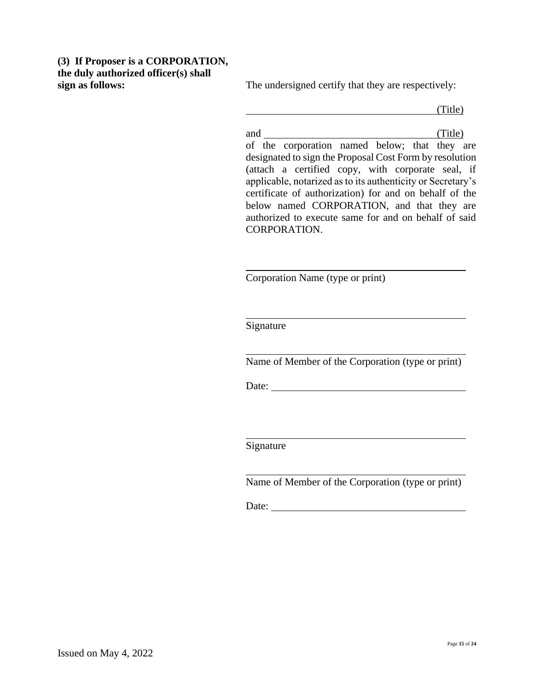# **(3) If Proposer is a CORPORATION, the duly authorized officer(s) shall**

**sign as follows:** The undersigned certify that they are respectively:

(Title)

and (Title) of the corporation named below; that they are designated to sign the Proposal Cost Form by resolution (attach a certified copy, with corporate seal, if applicable, notarized as to its authenticity or Secretary's certificate of authorization) for and on behalf of the below named CORPORATION, and that they are authorized to execute same for and on behalf of said CORPORATION.

Corporation Name (type or print)

Signature

Name of Member of the Corporation (type or print)

Date:

Signature

Name of Member of the Corporation (type or print)

Date: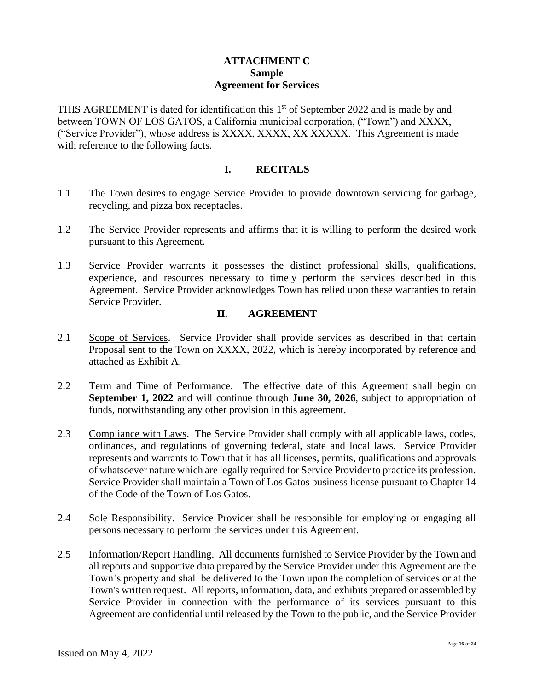#### **ATTACHMENT C Sample Agreement for Services**

THIS AGREEMENT is dated for identification this  $1<sup>st</sup>$  of September 2022 and is made by and between TOWN OF LOS GATOS, a California municipal corporation, ("Town") and XXXX, ("Service Provider"), whose address is XXXX, XXXX, XX XXXXX. This Agreement is made with reference to the following facts.

#### **I. RECITALS**

- 1.1 The Town desires to engage Service Provider to provide downtown servicing for garbage, recycling, and pizza box receptacles.
- 1.2 The Service Provider represents and affirms that it is willing to perform the desired work pursuant to this Agreement.
- 1.3 Service Provider warrants it possesses the distinct professional skills, qualifications, experience, and resources necessary to timely perform the services described in this Agreement. Service Provider acknowledges Town has relied upon these warranties to retain Service Provider.

# **II. AGREEMENT**

- 2.1 Scope of Services. Service Provider shall provide services as described in that certain Proposal sent to the Town on XXXX, 2022, which is hereby incorporated by reference and attached as Exhibit A.
- 2.2 Term and Time of Performance. The effective date of this Agreement shall begin on **September 1, 2022** and will continue through **June 30, 2026**, subject to appropriation of funds, notwithstanding any other provision in this agreement.
- 2.3 Compliance with Laws. The Service Provider shall comply with all applicable laws, codes, ordinances, and regulations of governing federal, state and local laws. Service Provider represents and warrants to Town that it has all licenses, permits, qualifications and approvals of whatsoever nature which are legally required for Service Provider to practice its profession. Service Provider shall maintain a Town of Los Gatos business license pursuant to Chapter 14 of the Code of the Town of Los Gatos.
- 2.4 Sole Responsibility. Service Provider shall be responsible for employing or engaging all persons necessary to perform the services under this Agreement.
- 2.5 Information/Report Handling. All documents furnished to Service Provider by the Town and all reports and supportive data prepared by the Service Provider under this Agreement are the Town's property and shall be delivered to the Town upon the completion of services or at the Town's written request. All reports, information, data, and exhibits prepared or assembled by Service Provider in connection with the performance of its services pursuant to this Agreement are confidential until released by the Town to the public, and the Service Provider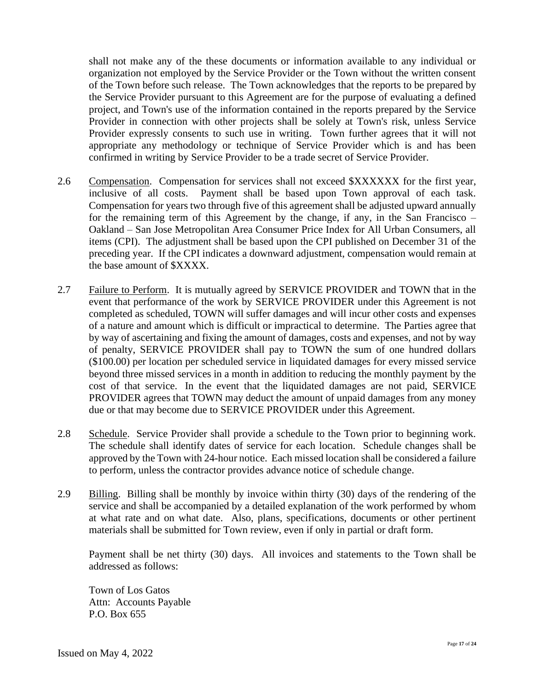shall not make any of the these documents or information available to any individual or organization not employed by the Service Provider or the Town without the written consent of the Town before such release. The Town acknowledges that the reports to be prepared by the Service Provider pursuant to this Agreement are for the purpose of evaluating a defined project, and Town's use of the information contained in the reports prepared by the Service Provider in connection with other projects shall be solely at Town's risk, unless Service Provider expressly consents to such use in writing. Town further agrees that it will not appropriate any methodology or technique of Service Provider which is and has been confirmed in writing by Service Provider to be a trade secret of Service Provider.

- 2.6 Compensation. Compensation for services shall not exceed \$XXXXXX for the first year, inclusive of all costs. Payment shall be based upon Town approval of each task. Compensation for years two through five of this agreement shall be adjusted upward annually for the remaining term of this Agreement by the change, if any, in the San Francisco – Oakland – San Jose Metropolitan Area Consumer Price Index for All Urban Consumers, all items (CPI). The adjustment shall be based upon the CPI published on December 31 of the preceding year. If the CPI indicates a downward adjustment, compensation would remain at the base amount of \$XXXX.
- 2.7 Failure to Perform. It is mutually agreed by SERVICE PROVIDER and TOWN that in the event that performance of the work by SERVICE PROVIDER under this Agreement is not completed as scheduled, TOWN will suffer damages and will incur other costs and expenses of a nature and amount which is difficult or impractical to determine. The Parties agree that by way of ascertaining and fixing the amount of damages, costs and expenses, and not by way of penalty, SERVICE PROVIDER shall pay to TOWN the sum of one hundred dollars (\$100.00) per location per scheduled service in liquidated damages for every missed service beyond three missed services in a month in addition to reducing the monthly payment by the cost of that service. In the event that the liquidated damages are not paid, SERVICE PROVIDER agrees that TOWN may deduct the amount of unpaid damages from any money due or that may become due to SERVICE PROVIDER under this Agreement.
- 2.8 Schedule. Service Provider shall provide a schedule to the Town prior to beginning work. The schedule shall identify dates of service for each location. Schedule changes shall be approved by the Town with 24-hour notice. Each missed location shall be considered a failure to perform, unless the contractor provides advance notice of schedule change.
- 2.9 Billing. Billing shall be monthly by invoice within thirty (30) days of the rendering of the service and shall be accompanied by a detailed explanation of the work performed by whom at what rate and on what date. Also, plans, specifications, documents or other pertinent materials shall be submitted for Town review, even if only in partial or draft form.

Payment shall be net thirty (30) days. All invoices and statements to the Town shall be addressed as follows:

Town of Los Gatos Attn: Accounts Payable P.O. Box 655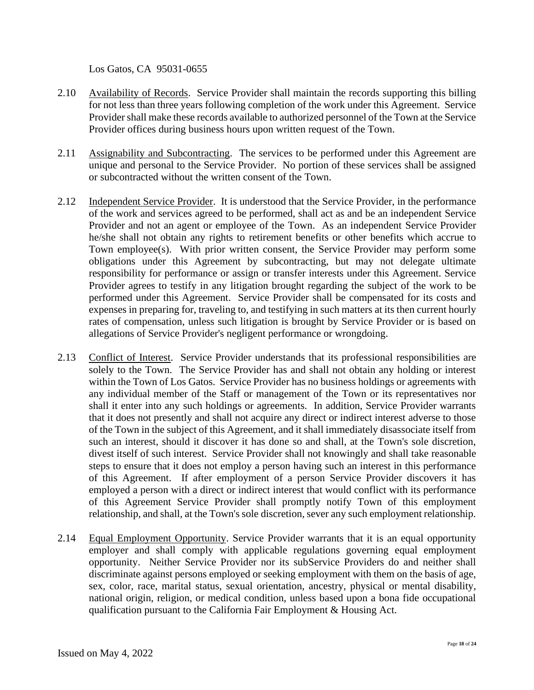Los Gatos, CA 95031-0655

- 2.10 Availability of Records. Service Provider shall maintain the records supporting this billing for not less than three years following completion of the work under this Agreement. Service Provider shall make these records available to authorized personnel of the Town at the Service Provider offices during business hours upon written request of the Town.
- 2.11 Assignability and Subcontracting. The services to be performed under this Agreement are unique and personal to the Service Provider. No portion of these services shall be assigned or subcontracted without the written consent of the Town.
- 2.12 Independent Service Provider. It is understood that the Service Provider, in the performance of the work and services agreed to be performed, shall act as and be an independent Service Provider and not an agent or employee of the Town. As an independent Service Provider he/she shall not obtain any rights to retirement benefits or other benefits which accrue to Town employee(s). With prior written consent, the Service Provider may perform some obligations under this Agreement by subcontracting, but may not delegate ultimate responsibility for performance or assign or transfer interests under this Agreement. Service Provider agrees to testify in any litigation brought regarding the subject of the work to be performed under this Agreement. Service Provider shall be compensated for its costs and expenses in preparing for, traveling to, and testifying in such matters at its then current hourly rates of compensation, unless such litigation is brought by Service Provider or is based on allegations of Service Provider's negligent performance or wrongdoing.
- 2.13 Conflict of Interest. Service Provider understands that its professional responsibilities are solely to the Town. The Service Provider has and shall not obtain any holding or interest within the Town of Los Gatos. Service Provider has no business holdings or agreements with any individual member of the Staff or management of the Town or its representatives nor shall it enter into any such holdings or agreements. In addition, Service Provider warrants that it does not presently and shall not acquire any direct or indirect interest adverse to those of the Town in the subject of this Agreement, and it shall immediately disassociate itself from such an interest, should it discover it has done so and shall, at the Town's sole discretion, divest itself of such interest. Service Provider shall not knowingly and shall take reasonable steps to ensure that it does not employ a person having such an interest in this performance of this Agreement. If after employment of a person Service Provider discovers it has employed a person with a direct or indirect interest that would conflict with its performance of this Agreement Service Provider shall promptly notify Town of this employment relationship, and shall, at the Town's sole discretion, sever any such employment relationship.
- 2.14 Equal Employment Opportunity. Service Provider warrants that it is an equal opportunity employer and shall comply with applicable regulations governing equal employment opportunity. Neither Service Provider nor its subService Providers do and neither shall discriminate against persons employed or seeking employment with them on the basis of age, sex, color, race, marital status, sexual orientation, ancestry, physical or mental disability, national origin, religion, or medical condition, unless based upon a bona fide occupational qualification pursuant to the California Fair Employment & Housing Act.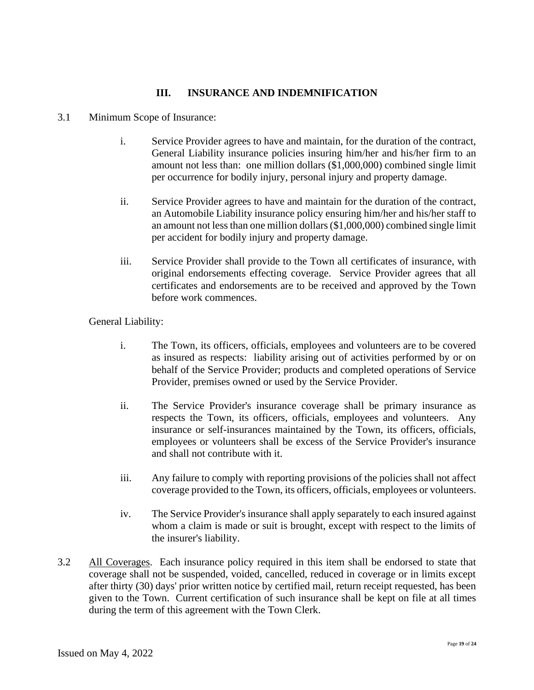# **III. INSURANCE AND INDEMNIFICATION**

- 3.1 Minimum Scope of Insurance:
	- i. Service Provider agrees to have and maintain, for the duration of the contract, General Liability insurance policies insuring him/her and his/her firm to an amount not less than: one million dollars (\$1,000,000) combined single limit per occurrence for bodily injury, personal injury and property damage.
	- ii. Service Provider agrees to have and maintain for the duration of the contract, an Automobile Liability insurance policy ensuring him/her and his/her staff to an amount not less than one million dollars (\$1,000,000) combined single limit per accident for bodily injury and property damage.
	- iii. Service Provider shall provide to the Town all certificates of insurance, with original endorsements effecting coverage. Service Provider agrees that all certificates and endorsements are to be received and approved by the Town before work commences.

General Liability:

- i. The Town, its officers, officials, employees and volunteers are to be covered as insured as respects: liability arising out of activities performed by or on behalf of the Service Provider; products and completed operations of Service Provider, premises owned or used by the Service Provider.
- ii. The Service Provider's insurance coverage shall be primary insurance as respects the Town, its officers, officials, employees and volunteers. Any insurance or self-insurances maintained by the Town, its officers, officials, employees or volunteers shall be excess of the Service Provider's insurance and shall not contribute with it.
- iii. Any failure to comply with reporting provisions of the policies shall not affect coverage provided to the Town, its officers, officials, employees or volunteers.
- iv. The Service Provider's insurance shall apply separately to each insured against whom a claim is made or suit is brought, except with respect to the limits of the insurer's liability.
- 3.2 All Coverages. Each insurance policy required in this item shall be endorsed to state that coverage shall not be suspended, voided, cancelled, reduced in coverage or in limits except after thirty (30) days' prior written notice by certified mail, return receipt requested, has been given to the Town. Current certification of such insurance shall be kept on file at all times during the term of this agreement with the Town Clerk.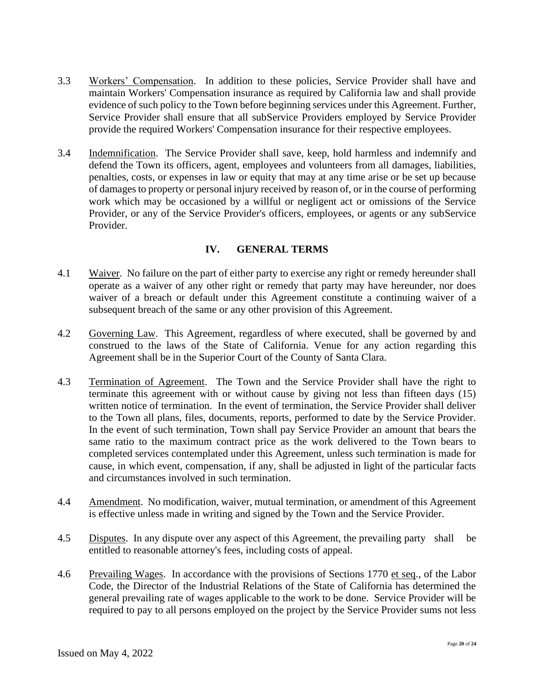- 3.3 Workers' Compensation. In addition to these policies, Service Provider shall have and maintain Workers' Compensation insurance as required by California law and shall provide evidence of such policy to the Town before beginning services under this Agreement. Further, Service Provider shall ensure that all subService Providers employed by Service Provider provide the required Workers' Compensation insurance for their respective employees.
- 3.4 Indemnification. The Service Provider shall save, keep, hold harmless and indemnify and defend the Town its officers, agent, employees and volunteers from all damages, liabilities, penalties, costs, or expenses in law or equity that may at any time arise or be set up because of damages to property or personal injury received by reason of, or in the course of performing work which may be occasioned by a willful or negligent act or omissions of the Service Provider, or any of the Service Provider's officers, employees, or agents or any subService Provider.

#### **IV. GENERAL TERMS**

- 4.1 Waiver. No failure on the part of either party to exercise any right or remedy hereunder shall operate as a waiver of any other right or remedy that party may have hereunder, nor does waiver of a breach or default under this Agreement constitute a continuing waiver of a subsequent breach of the same or any other provision of this Agreement.
- 4.2 Governing Law. This Agreement, regardless of where executed, shall be governed by and construed to the laws of the State of California. Venue for any action regarding this Agreement shall be in the Superior Court of the County of Santa Clara.
- 4.3 Termination of Agreement. The Town and the Service Provider shall have the right to terminate this agreement with or without cause by giving not less than fifteen days (15) written notice of termination. In the event of termination, the Service Provider shall deliver to the Town all plans, files, documents, reports, performed to date by the Service Provider. In the event of such termination, Town shall pay Service Provider an amount that bears the same ratio to the maximum contract price as the work delivered to the Town bears to completed services contemplated under this Agreement, unless such termination is made for cause, in which event, compensation, if any, shall be adjusted in light of the particular facts and circumstances involved in such termination.
- 4.4 Amendment. No modification, waiver, mutual termination, or amendment of this Agreement is effective unless made in writing and signed by the Town and the Service Provider.
- 4.5 Disputes. In any dispute over any aspect of this Agreement, the prevailing party shall be entitled to reasonable attorney's fees, including costs of appeal.
- 4.6 Prevailing Wages. In accordance with the provisions of Sections 1770 et seq., of the Labor Code, the Director of the Industrial Relations of the State of California has determined the general prevailing rate of wages applicable to the work to be done. Service Provider will be required to pay to all persons employed on the project by the Service Provider sums not less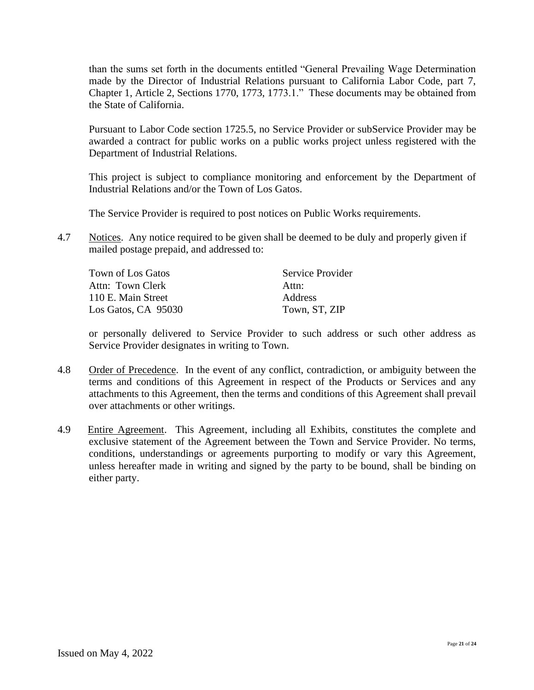than the sums set forth in the documents entitled "General Prevailing Wage Determination made by the Director of Industrial Relations pursuant to California Labor Code, part 7, Chapter 1, Article 2, Sections 1770, 1773, 1773.1." These documents may be obtained from the State of California.

Pursuant to Labor Code section 1725.5, no Service Provider or subService Provider may be awarded a contract for public works on a public works project unless registered with the Department of Industrial Relations.

This project is subject to compliance monitoring and enforcement by the Department of Industrial Relations and/or the Town of Los Gatos.

The Service Provider is required to post notices on Public Works requirements.

4.7 Notices. Any notice required to be given shall be deemed to be duly and properly given if mailed postage prepaid, and addressed to:

| Town of Los Gatos   | Service Provider |
|---------------------|------------------|
| Attn: Town Clerk    | Attn:            |
| 110 E. Main Street  | <b>Address</b>   |
| Los Gatos, CA 95030 | Town, ST, ZIP    |

or personally delivered to Service Provider to such address or such other address as Service Provider designates in writing to Town.

- 4.8 Order of Precedence. In the event of any conflict, contradiction, or ambiguity between the terms and conditions of this Agreement in respect of the Products or Services and any attachments to this Agreement, then the terms and conditions of this Agreement shall prevail over attachments or other writings.
- 4.9 Entire Agreement. This Agreement, including all Exhibits, constitutes the complete and exclusive statement of the Agreement between the Town and Service Provider. No terms, conditions, understandings or agreements purporting to modify or vary this Agreement, unless hereafter made in writing and signed by the party to be bound, shall be binding on either party.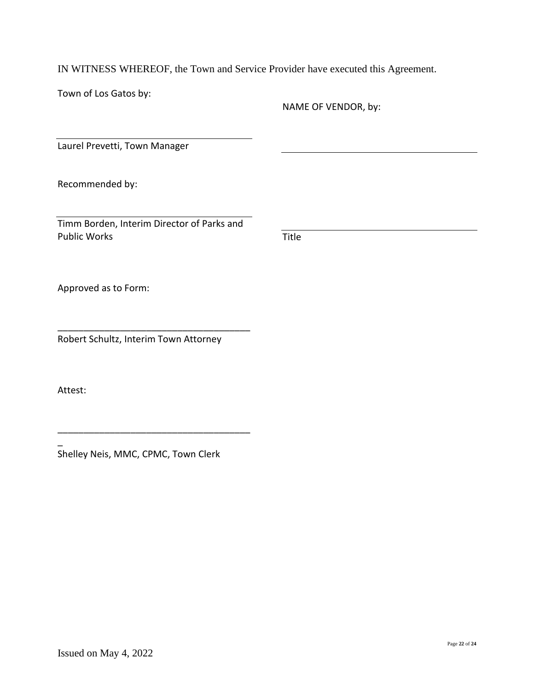IN WITNESS WHEREOF, the Town and Service Provider have executed this Agreement.

Town of Los Gatos by:

NAME OF VENDOR, by:

Laurel Prevetti, Town Manager

Recommended by:

Timm Borden, Interim Director of Parks and Public Works

Title

Approved as to Form:

Robert Schultz, Interim Town Attorney

\_\_\_\_\_\_\_\_\_\_\_\_\_\_\_\_\_\_\_\_\_\_\_\_\_\_\_\_\_\_\_\_\_\_\_\_\_

Attest:

\_

Shelley Neis, MMC, CPMC, Town Clerk

\_\_\_\_\_\_\_\_\_\_\_\_\_\_\_\_\_\_\_\_\_\_\_\_\_\_\_\_\_\_\_\_\_\_\_\_\_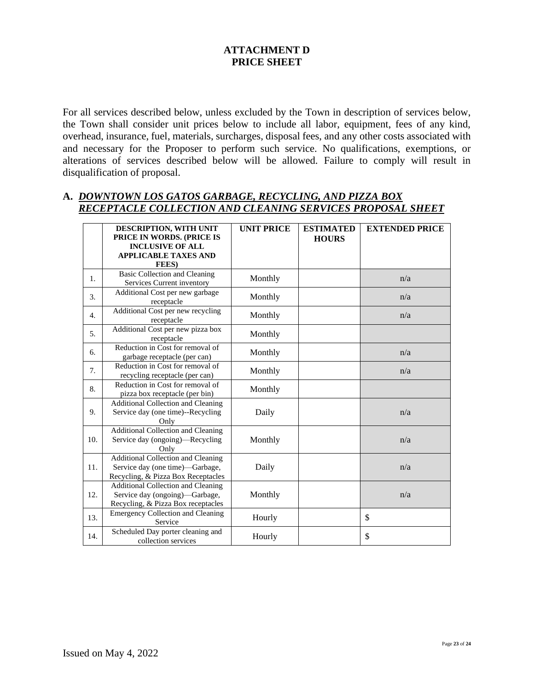# **ATTACHMENT D PRICE SHEET**

For all services described below, unless excluded by the Town in description of services below, the Town shall consider unit prices below to include all labor, equipment, fees of any kind, overhead, insurance, fuel, materials, surcharges, disposal fees, and any other costs associated with and necessary for the Proposer to perform such service. No qualifications, exemptions, or alterations of services described below will be allowed. Failure to comply will result in disqualification of proposal.

#### **A.** *DOWNTOWN LOS GATOS GARBAGE, RECYCLING, AND PIZZA BOX RECEPTACLE COLLECTION AND CLEANING SERVICES PROPOSAL SHEET*

|                  | DESCRIPTION, WITH UNIT<br>PRICE IN WORDS. (PRICE IS<br><b>INCLUSIVE OF ALL</b><br><b>APPLICABLE TAXES AND</b>      | <b>UNIT PRICE</b> | <b>ESTIMATED</b><br><b>HOURS</b> | <b>EXTENDED PRICE</b> |
|------------------|--------------------------------------------------------------------------------------------------------------------|-------------------|----------------------------------|-----------------------|
|                  | <b>FEES</b> )                                                                                                      |                   |                                  |                       |
| 1.               | <b>Basic Collection and Cleaning</b><br>Services Current inventory                                                 | Monthly           |                                  | n/a                   |
| 3.               | Additional Cost per new garbage<br>receptacle                                                                      | Monthly           |                                  | n/a                   |
| $\overline{4}$ . | Additional Cost per new recycling<br>receptacle                                                                    | Monthly           |                                  | n/a                   |
| 5 <sub>1</sub>   | Additional Cost per new pizza box<br>receptacle                                                                    | Monthly           |                                  |                       |
| 6.               | Reduction in Cost for removal of<br>garbage receptacle (per can)                                                   | Monthly           |                                  | n/a                   |
| 7.               | Reduction in Cost for removal of<br>recycling receptacle (per can)                                                 | Monthly           |                                  | n/a                   |
| 8.               | Reduction in Cost for removal of<br>pizza box receptacle (per bin)                                                 | Monthly           |                                  |                       |
| 9.               | <b>Additional Collection and Cleaning</b><br>Service day (one time)--Recycling<br>Only                             | Daily             |                                  | n/a                   |
| 10.              | <b>Additional Collection and Cleaning</b><br>Service day (ongoing)—Recycling<br>Only                               | Monthly           |                                  | n/a                   |
| 11.              | <b>Additional Collection and Cleaning</b><br>Service day (one time)-Garbage,<br>Recycling, & Pizza Box Receptacles | Daily             |                                  | n/a                   |
| 12.              | <b>Additional Collection and Cleaning</b><br>Service day (ongoing)—Garbage,<br>Recycling, & Pizza Box receptacles  | Monthly           |                                  | n/a                   |
| 13.              | <b>Emergency Collection and Cleaning</b><br>Service                                                                | Hourly            |                                  | \$                    |
| 14.              | Scheduled Day porter cleaning and<br>collection services                                                           | Hourly            |                                  | \$                    |